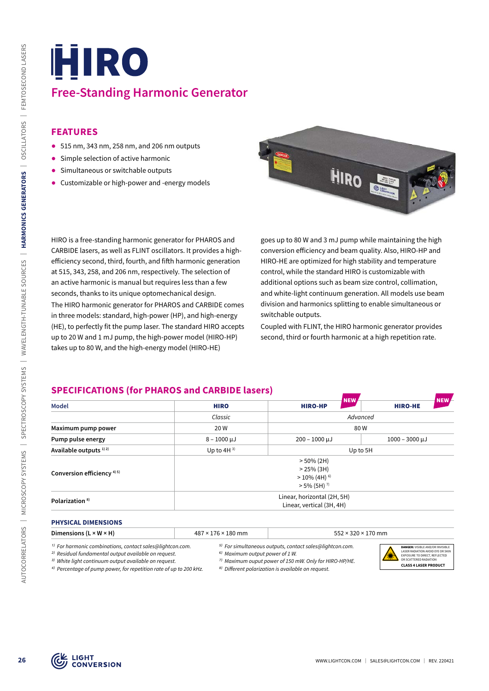# **Free-Standing Harmonic Generator**

## **FEATURES**

- ᰋ 515 nm, 343 nm, 258 nm, and 206 nm outputs
- Simple selection of active harmonic
- Simultaneous or switchable outputs
- ᰋ Customizable or high-power and -energy models



# **SPECIFICATIONS (for PHAROS and CARBIDE lasers)**

| 515 nm, 343 nm, 258 nm, and 206 nm outputs                                                                                |                                |                                                                                                                     |                                |
|---------------------------------------------------------------------------------------------------------------------------|--------------------------------|---------------------------------------------------------------------------------------------------------------------|--------------------------------|
| Simple selection of active harmonic                                                                                       |                                |                                                                                                                     |                                |
| Simultaneous or switchable outputs                                                                                        |                                | HIRO                                                                                                                |                                |
| Customizable or high-power and -energy models                                                                             |                                |                                                                                                                     |                                |
| HIRO is a free-standing harmonic generator for PHAROS and                                                                 |                                | goes up to 80 W and 3 mJ pump while maintaining the high                                                            |                                |
| CARBIDE lasers, as well as FLINT oscillators. It provides a high-                                                         |                                | conversion efficiency and beam quality. Also, HIRO-HP and                                                           |                                |
| efficiency second, third, fourth, and fifth harmonic generation                                                           |                                | HIRO-HE are optimized for high stability and temperature                                                            |                                |
| at 515, 343, 258, and 206 nm, respectively. The selection of<br>an active harmonic is manual but requires less than a few |                                | control, while the standard HIRO is customizable with<br>additional options such as beam size control, collimation, |                                |
| seconds, thanks to its unique optomechanical design.                                                                      |                                | and white-light continuum generation. All models use beam                                                           |                                |
| The HIRO harmonic generator for PHAROS and CARBIDE comes                                                                  |                                | division and harmonics splitting to enable simultaneous or                                                          |                                |
|                                                                                                                           |                                |                                                                                                                     |                                |
| in three models: standard, high-power (HP), and high-energy                                                               |                                | switchable outputs.                                                                                                 |                                |
| (HE), to perfectly fit the pump laser. The standard HIRO accepts                                                          |                                | Coupled with FLINT, the HIRO harmonic generator provides                                                            |                                |
| up to 20 W and 1 mJ pump, the high-power model (HIRO-HP)<br>takes up to 80 W, and the high-energy model (HIRO-HE)         |                                | second, third or fourth harmonic at a high repetition rate.                                                         |                                |
| <b>SPECIFICATIONS (for PHAROS and CARBIDE lasers)</b><br><b>Model</b>                                                     | <b>HIRO</b>                    | NEW<br><b>HIRO-HP</b>                                                                                               | <b>HIRO-HE</b>                 |
|                                                                                                                           | Classic                        |                                                                                                                     | Advanced                       |
| Maximum pump power                                                                                                        | 20 W                           |                                                                                                                     | 80W                            |
| Pump pulse energy                                                                                                         | $8 - 1000 \mu J$               | $200 - 1000 \mu J$                                                                                                  | $1000 - 3000 \mu J$            |
| Available outputs <sup>1)2)</sup>                                                                                         | Up to $4H^{3}$                 |                                                                                                                     | Up to 5H                       |
| Conversion efficiency <sup>4)5)</sup>                                                                                     |                                | $> 50\%$ (2H)<br>$> 25\%$ (3H)                                                                                      |                                |
|                                                                                                                           |                                | $>10\%$ (4H) $^{6)}$<br>$> 5\%$ (5H) <sup>7)</sup>                                                                  |                                |
| Polarization <sup>8)</sup>                                                                                                |                                | Linear, horizontal (2H, 5H)<br>Linear, vertical (3H, 4H)                                                            |                                |
| <b>PHYSICAL DIMENSIONS</b>                                                                                                |                                |                                                                                                                     |                                |
| Dimensions (L $\times$ W $\times$ H)                                                                                      | $487 \times 176 \times 180$ mm |                                                                                                                     | $552 \times 320 \times 170$ mm |

#### **PHYSICAL DIMENSIONS**

| <b>Dimension</b><br>٢H<br>M | 4×<br>∙mm<br>$\sim$ | mm. |
|-----------------------------|---------------------|-----|
|                             |                     |     |